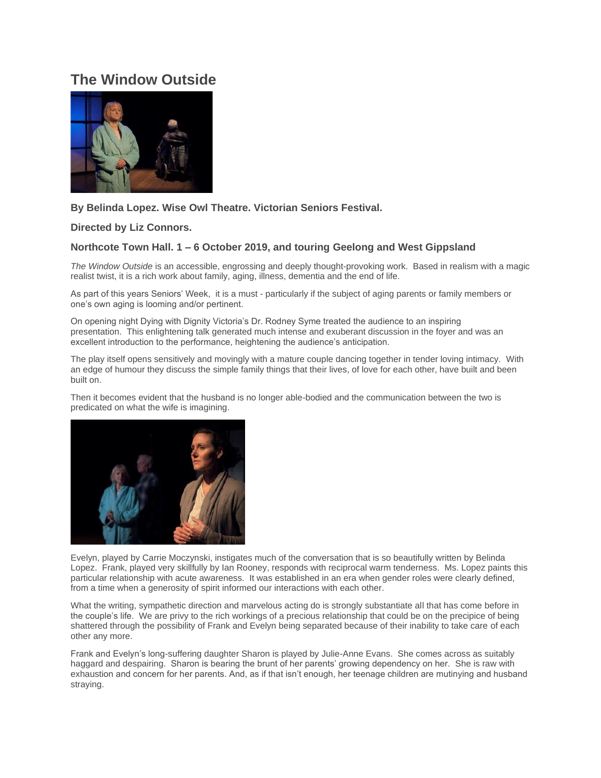# **The Window Outside**



## **By Belinda Lopez. Wise Owl Theatre. Victorian Seniors Festival.**

## **Directed by Liz Connors.**

## **Northcote Town Hall. 1 – 6 October 2019, and touring Geelong and West Gippsland**

*The Window Outside* is an accessible, engrossing and deeply thought-provoking work. Based in realism with a magic realist twist, it is a rich work about family, aging, illness, dementia and the end of life.

As part of this years Seniors' Week, it is a must - particularly if the subject of aging parents or family members or one's own aging is looming and/or pertinent.

On opening night Dying with Dignity Victoria's Dr. Rodney Syme treated the audience to an inspiring presentation. This enlightening talk generated much intense and exuberant discussion in the foyer and was an excellent introduction to the performance, heightening the audience's anticipation.

The play itself opens sensitively and movingly with a mature couple dancing together in tender loving intimacy. With an edge of humour they discuss the simple family things that their lives, of love for each other, have built and been built on.

Then it becomes evident that the husband is no longer able-bodied and the communication between the two is predicated on what the wife is imagining.



Evelyn, played by Carrie Moczynski, instigates much of the conversation that is so beautifully written by Belinda Lopez. Frank, played very skillfully by Ian Rooney, responds with reciprocal warm tenderness. Ms. Lopez paints this particular relationship with acute awareness. It was established in an era when gender roles were clearly defined, from a time when a generosity of spirit informed our interactions with each other.

What the writing, sympathetic direction and marvelous acting do is strongly substantiate all that has come before in the couple's life. We are privy to the rich workings of a precious relationship that could be on the precipice of being shattered through the possibility of Frank and Evelyn being separated because of their inability to take care of each other any more.

Frank and Evelyn's long-suffering daughter Sharon is played by Julie-Anne Evans. She comes across as suitably haggard and despairing. Sharon is bearing the brunt of her parents' growing dependency on her. She is raw with exhaustion and concern for her parents. And, as if that isn't enough, her teenage children are mutinying and husband straying.